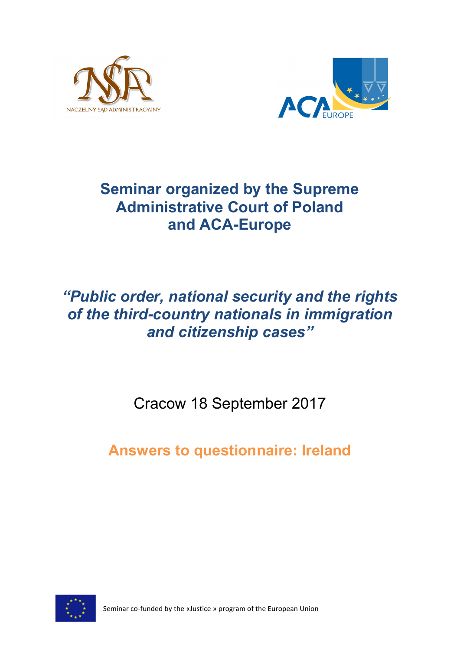



## **Seminar organized by the Supreme Administrative Court of Poland and ACA-Europe**

# *"Public order, national security and the rights of the third-country nationals in immigration and citizenship cases"*

Cracow 18 September 2017

**Answers to questionnaire: Ireland**



Seminar co-funded by the «Justice » program of the European Union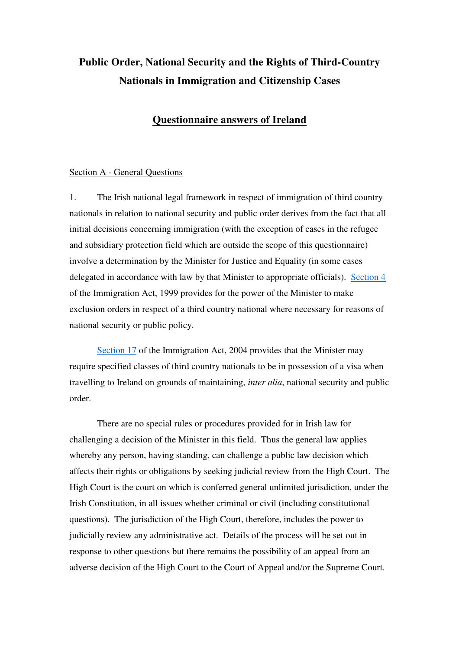### **Public Order, National Security and the Rights of Third-Country Nationals in Immigration and Citizenship Cases**

### **Questionnaire answers of Ireland**

#### Section A - General Questions

1. The Irish national legal framework in respect of immigration of third country nationals in relation to national security and public order derives from the fact that all initial decisions concerning immigration (with the exception of cases in the refugee and subsidiary protection field which are outside the scope of this questionnaire) involve a determination by the Minister for Justice and Equality (in some cases delegated in accordance with law by that Minister to appropriate officials). Section 4 of the Immigration Act, 1999 provides for the power of the Minister to make exclusion orders in respect of a third country national where necessary for reasons of national security or public policy.

Section 17 of the Immigration Act, 2004 provides that the Minister may require specified classes of third country nationals to be in possession of a visa when travelling to Ireland on grounds of maintaining, *inter alia*, national security and public order.

 There are no special rules or procedures provided for in Irish law for challenging a decision of the Minister in this field. Thus the general law applies whereby any person, having standing, can challenge a public law decision which affects their rights or obligations by seeking judicial review from the High Court. The High Court is the court on which is conferred general unlimited jurisdiction, under the Irish Constitution, in all issues whether criminal or civil (including constitutional questions). The jurisdiction of the High Court, therefore, includes the power to judicially review any administrative act. Details of the process will be set out in response to other questions but there remains the possibility of an appeal from an adverse decision of the High Court to the Court of Appeal and/or the Supreme Court.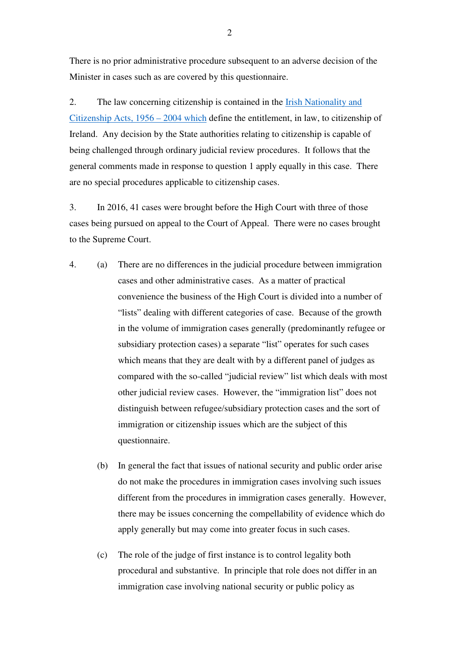There is no prior administrative procedure subsequent to an adverse decision of the Minister in cases such as are covered by this questionnaire.

2. The law concerning citizenship is contained in the Irish Nationality and Citizenship Acts, 1956 – 2004 which define the entitlement, in law, to citizenship of Ireland. Any decision by the State authorities relating to citizenship is capable of being challenged through ordinary judicial review procedures. It follows that the general comments made in response to question 1 apply equally in this case. There are no special procedures applicable to citizenship cases.

3. In 2016, 41 cases were brought before the High Court with three of those cases being pursued on appeal to the Court of Appeal. There were no cases brought to the Supreme Court.

- 4. (a) There are no differences in the judicial procedure between immigration cases and other administrative cases. As a matter of practical convenience the business of the High Court is divided into a number of "lists" dealing with different categories of case. Because of the growth in the volume of immigration cases generally (predominantly refugee or subsidiary protection cases) a separate "list" operates for such cases which means that they are dealt with by a different panel of judges as compared with the so-called "judicial review" list which deals with most other judicial review cases. However, the "immigration list" does not distinguish between refugee/subsidiary protection cases and the sort of immigration or citizenship issues which are the subject of this questionnaire.
	- (b) In general the fact that issues of national security and public order arise do not make the procedures in immigration cases involving such issues different from the procedures in immigration cases generally. However, there may be issues concerning the compellability of evidence which do apply generally but may come into greater focus in such cases.
	- (c) The role of the judge of first instance is to control legality both procedural and substantive. In principle that role does not differ in an immigration case involving national security or public policy as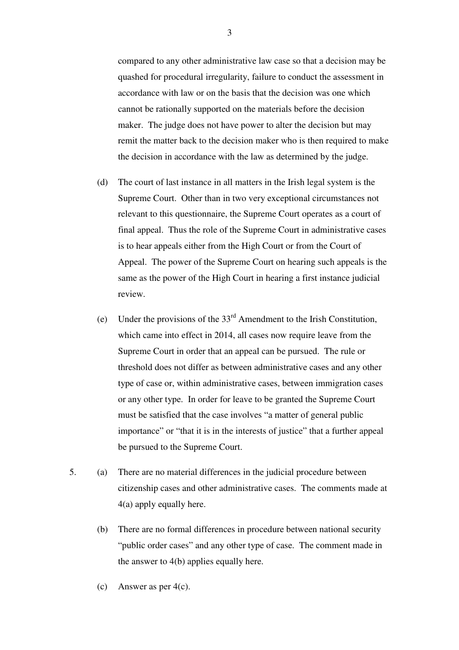compared to any other administrative law case so that a decision may be quashed for procedural irregularity, failure to conduct the assessment in accordance with law or on the basis that the decision was one which cannot be rationally supported on the materials before the decision maker. The judge does not have power to alter the decision but may remit the matter back to the decision maker who is then required to make the decision in accordance with the law as determined by the judge.

- (d) The court of last instance in all matters in the Irish legal system is the Supreme Court. Other than in two very exceptional circumstances not relevant to this questionnaire, the Supreme Court operates as a court of final appeal. Thus the role of the Supreme Court in administrative cases is to hear appeals either from the High Court or from the Court of Appeal. The power of the Supreme Court on hearing such appeals is the same as the power of the High Court in hearing a first instance judicial review.
- (e) Under the provisions of the  $33<sup>rd</sup>$  Amendment to the Irish Constitution, which came into effect in 2014, all cases now require leave from the Supreme Court in order that an appeal can be pursued. The rule or threshold does not differ as between administrative cases and any other type of case or, within administrative cases, between immigration cases or any other type. In order for leave to be granted the Supreme Court must be satisfied that the case involves "a matter of general public importance" or "that it is in the interests of justice" that a further appeal be pursued to the Supreme Court.
- 5. (a) There are no material differences in the judicial procedure between citizenship cases and other administrative cases. The comments made at 4(a) apply equally here.
	- (b) There are no formal differences in procedure between national security "public order cases" and any other type of case. The comment made in the answer to 4(b) applies equally here.
	- (c) Answer as per  $4(c)$ .

3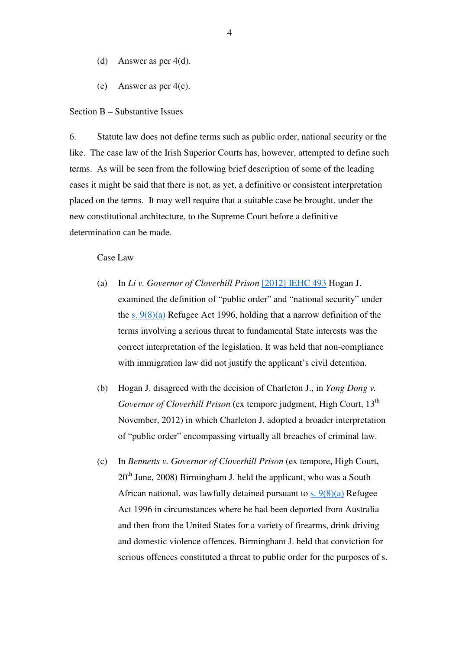- (d) Answer as per 4(d).
- (e) Answer as per 4(e).

#### Section B – Substantive Issues

6. Statute law does not define terms such as public order, national security or the like. The case law of the Irish Superior Courts has, however, attempted to define such terms. As will be seen from the following brief description of some of the leading cases it might be said that there is not, as yet, a definitive or consistent interpretation placed on the terms. It may well require that a suitable case be brought, under the new constitutional architecture, to the Supreme Court before a definitive determination can be made.

#### Case Law

- (a) In *Li v. Governor of Cloverhill Prison* [2012] IEHC 493 Hogan J. examined the definition of "public order" and "national security" under the s.  $9(8)(a)$  Refugee Act 1996, holding that a narrow definition of the terms involving a serious threat to fundamental State interests was the correct interpretation of the legislation. It was held that non-compliance with immigration law did not justify the applicant's civil detention.
- (b) Hogan J. disagreed with the decision of Charleton J., in *Yong Dong v. Governor of Cloverhill Prison* (ex tempore judgment, High Court, 13<sup>th</sup> November, 2012) in which Charleton J. adopted a broader interpretation of "public order" encompassing virtually all breaches of criminal law.
- (c) In *Bennetts v. Governor of Cloverhill Prison* (ex tempore, High Court,  $20<sup>th</sup>$  June, 2008) Birmingham J. held the applicant, who was a South African national, was lawfully detained pursuant to  $s$ .  $9(8)(a)$  Refugee Act 1996 in circumstances where he had been deported from Australia and then from the United States for a variety of firearms, drink driving and domestic violence offences. Birmingham J. held that conviction for serious offences constituted a threat to public order for the purposes of s.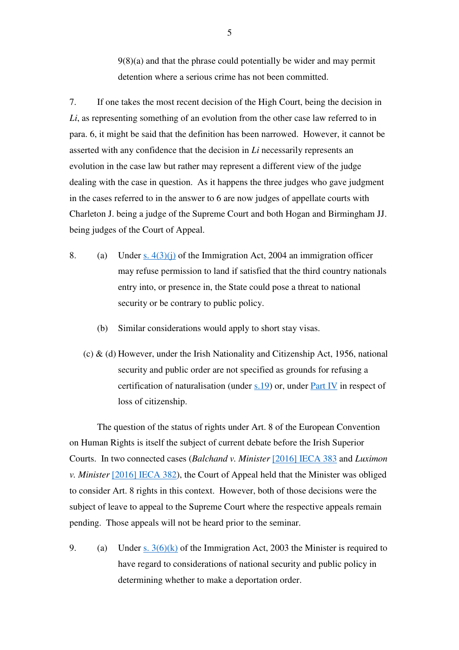9(8)(a) and that the phrase could potentially be wider and may permit detention where a serious crime has not been committed.

7. If one takes the most recent decision of the High Court, being the decision in *Li*, as representing something of an evolution from the other case law referred to in para. 6, it might be said that the definition has been narrowed. However, it cannot be asserted with any confidence that the decision in *Li* necessarily represents an evolution in the case law but rather may represent a different view of the judge dealing with the case in question. As it happens the three judges who gave judgment in the cases referred to in the answer to 6 are now judges of appellate courts with Charleton J. being a judge of the Supreme Court and both Hogan and Birmingham JJ. being judges of the Court of Appeal.

- 8. (a) Under s.  $4(3)(i)$  of the Immigration Act, 2004 an immigration officer may refuse permission to land if satisfied that the third country nationals entry into, or presence in, the State could pose a threat to national security or be contrary to public policy.
	- (b) Similar considerations would apply to short stay visas.
	- (c) & (d) However, under the Irish Nationality and Citizenship Act, 1956, national security and public order are not specified as grounds for refusing a certification of naturalisation (under s.19) or, under Part IV in respect of loss of citizenship.

 The question of the status of rights under Art. 8 of the European Convention on Human Rights is itself the subject of current debate before the Irish Superior Courts. In two connected cases (*Balchand v. Minister* [2016] IECA 383 and *Luximon v. Minister* [2016] IECA 382), the Court of Appeal held that the Minister was obliged to consider Art. 8 rights in this context. However, both of those decisions were the subject of leave to appeal to the Supreme Court where the respective appeals remain pending. Those appeals will not be heard prior to the seminar.

9. (a) Under s.  $3(6)(k)$  of the Immigration Act, 2003 the Minister is required to have regard to considerations of national security and public policy in determining whether to make a deportation order.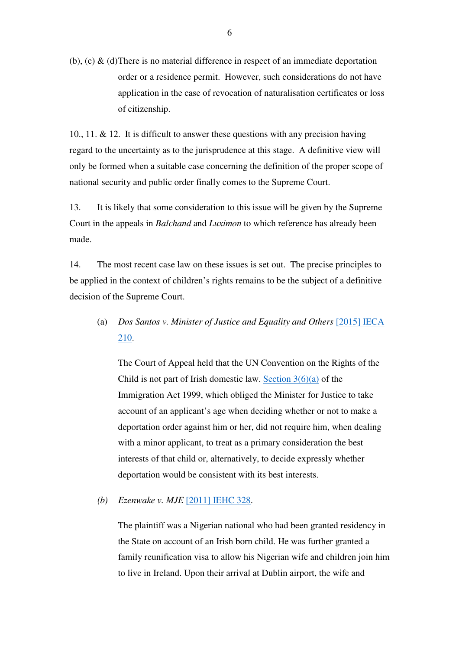(b), (c)  $\&$  (d) There is no material difference in respect of an immediate deportation order or a residence permit. However, such considerations do not have application in the case of revocation of naturalisation certificates or loss of citizenship.

10., 11.  $\&$  12. It is difficult to answer these questions with any precision having regard to the uncertainty as to the jurisprudence at this stage. A definitive view will only be formed when a suitable case concerning the definition of the proper scope of national security and public order finally comes to the Supreme Court.

13. It is likely that some consideration to this issue will be given by the Supreme Court in the appeals in *Balchand* and *Luximon* to which reference has already been made.

14. The most recent case law on these issues is set out. The precise principles to be applied in the context of children's rights remains to be the subject of a definitive decision of the Supreme Court.

 (a) *Dos Santos v. Minister of Justice and Equality and Others* [2015] IECA 210.

 The Court of Appeal held that the UN Convention on the Rights of the Child is not part of Irish domestic law. Section  $3(6)(a)$  of the Immigration Act 1999, which obliged the Minister for Justice to take account of an applicant's age when deciding whether or not to make a deportation order against him or her, did not require him, when dealing with a minor applicant, to treat as a primary consideration the best interests of that child or, alternatively, to decide expressly whether deportation would be consistent with its best interests.

*(b) Ezenwake v. MJE* [2011] IEHC 328.

The plaintiff was a Nigerian national who had been granted residency in the State on account of an Irish born child. He was further granted a family reunification visa to allow his Nigerian wife and children join him to live in Ireland. Upon their arrival at Dublin airport, the wife and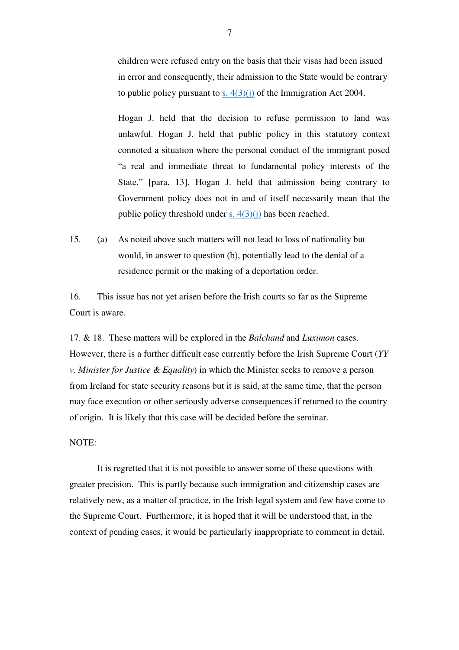children were refused entry on the basis that their visas had been issued in error and consequently, their admission to the State would be contrary to public policy pursuant to s.  $4(3)(i)$  of the Immigration Act 2004.

Hogan J. held that the decision to refuse permission to land was unlawful. Hogan J. held that public policy in this statutory context connoted a situation where the personal conduct of the immigrant posed "a real and immediate threat to fundamental policy interests of the State." [para. 13]. Hogan J. held that admission being contrary to Government policy does not in and of itself necessarily mean that the public policy threshold under s.  $4(3)(i)$  has been reached.

15. (a) As noted above such matters will not lead to loss of nationality but would, in answer to question (b), potentially lead to the denial of a residence permit or the making of a deportation order.

16. This issue has not yet arisen before the Irish courts so far as the Supreme Court is aware.

17. & 18. These matters will be explored in the *Balchand* and *Luximon* cases. However, there is a further difficult case currently before the Irish Supreme Court (*YY v. Minister for Justice & Equality*) in which the Minister seeks to remove a person from Ireland for state security reasons but it is said, at the same time, that the person may face execution or other seriously adverse consequences if returned to the country of origin. It is likely that this case will be decided before the seminar.

#### NOTE:

 It is regretted that it is not possible to answer some of these questions with greater precision. This is partly because such immigration and citizenship cases are relatively new, as a matter of practice, in the Irish legal system and few have come to the Supreme Court. Furthermore, it is hoped that it will be understood that, in the context of pending cases, it would be particularly inappropriate to comment in detail.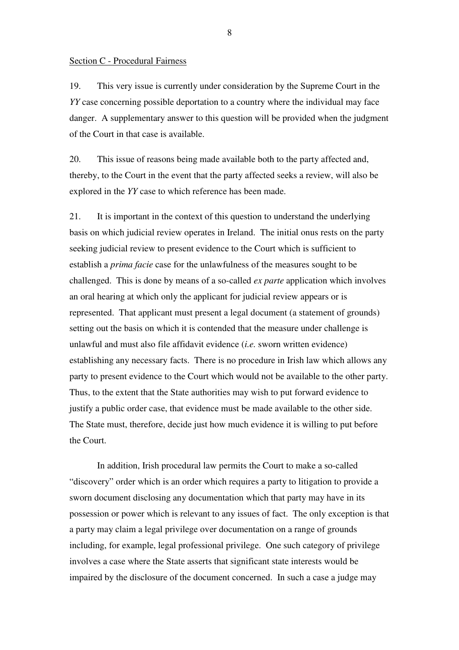#### Section C - Procedural Fairness

19. This very issue is currently under consideration by the Supreme Court in the *YY* case concerning possible deportation to a country where the individual may face danger. A supplementary answer to this question will be provided when the judgment of the Court in that case is available.

20. This issue of reasons being made available both to the party affected and, thereby, to the Court in the event that the party affected seeks a review, will also be explored in the *YY* case to which reference has been made.

21. It is important in the context of this question to understand the underlying basis on which judicial review operates in Ireland. The initial onus rests on the party seeking judicial review to present evidence to the Court which is sufficient to establish a *prima facie* case for the unlawfulness of the measures sought to be challenged. This is done by means of a so-called *ex parte* application which involves an oral hearing at which only the applicant for judicial review appears or is represented. That applicant must present a legal document (a statement of grounds) setting out the basis on which it is contended that the measure under challenge is unlawful and must also file affidavit evidence (*i.e.* sworn written evidence) establishing any necessary facts. There is no procedure in Irish law which allows any party to present evidence to the Court which would not be available to the other party. Thus, to the extent that the State authorities may wish to put forward evidence to justify a public order case, that evidence must be made available to the other side. The State must, therefore, decide just how much evidence it is willing to put before the Court.

 In addition, Irish procedural law permits the Court to make a so-called "discovery" order which is an order which requires a party to litigation to provide a sworn document disclosing any documentation which that party may have in its possession or power which is relevant to any issues of fact. The only exception is that a party may claim a legal privilege over documentation on a range of grounds including, for example, legal professional privilege. One such category of privilege involves a case where the State asserts that significant state interests would be impaired by the disclosure of the document concerned. In such a case a judge may

8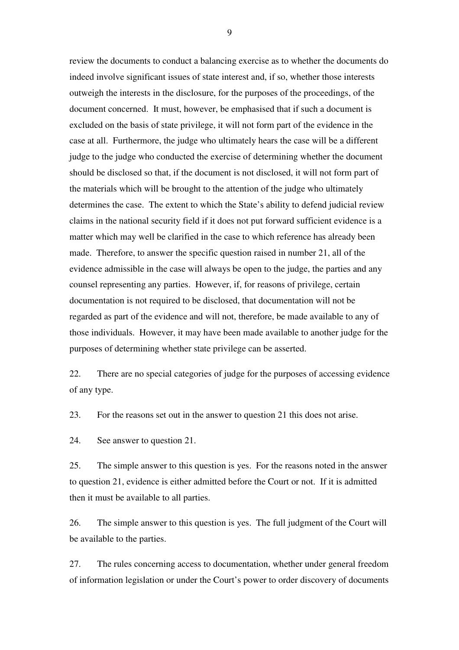review the documents to conduct a balancing exercise as to whether the documents do indeed involve significant issues of state interest and, if so, whether those interests outweigh the interests in the disclosure, for the purposes of the proceedings, of the document concerned. It must, however, be emphasised that if such a document is excluded on the basis of state privilege, it will not form part of the evidence in the case at all. Furthermore, the judge who ultimately hears the case will be a different judge to the judge who conducted the exercise of determining whether the document should be disclosed so that, if the document is not disclosed, it will not form part of the materials which will be brought to the attention of the judge who ultimately determines the case. The extent to which the State's ability to defend judicial review claims in the national security field if it does not put forward sufficient evidence is a matter which may well be clarified in the case to which reference has already been made. Therefore, to answer the specific question raised in number 21, all of the evidence admissible in the case will always be open to the judge, the parties and any counsel representing any parties. However, if, for reasons of privilege, certain documentation is not required to be disclosed, that documentation will not be regarded as part of the evidence and will not, therefore, be made available to any of those individuals. However, it may have been made available to another judge for the purposes of determining whether state privilege can be asserted.

22. There are no special categories of judge for the purposes of accessing evidence of any type.

23. For the reasons set out in the answer to question 21 this does not arise.

24. See answer to question 21.

25. The simple answer to this question is yes. For the reasons noted in the answer to question 21, evidence is either admitted before the Court or not. If it is admitted then it must be available to all parties.

26. The simple answer to this question is yes. The full judgment of the Court will be available to the parties.

27. The rules concerning access to documentation, whether under general freedom of information legislation or under the Court's power to order discovery of documents

9